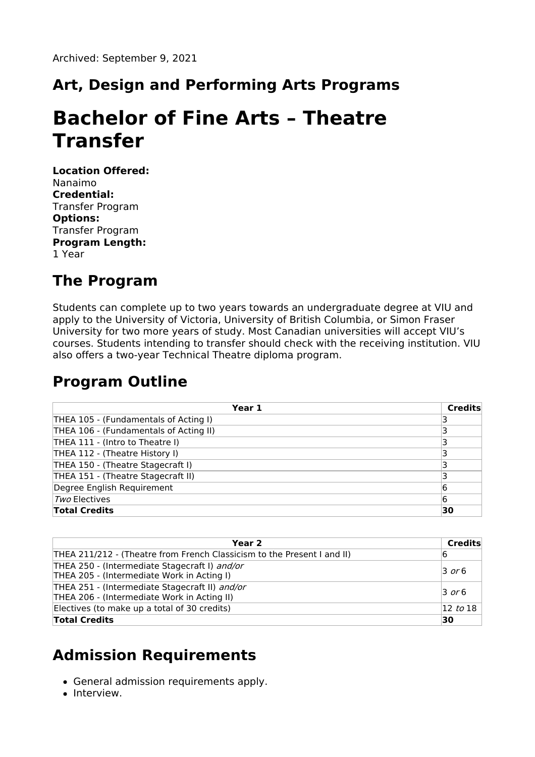### **Art, Design and Performing Arts Programs**

# **Bachelor of Fine Arts – Theatre Transfer**

**Location Offered:** Nanaimo **Credential:** Transfer Program **Options:** Transfer Program **Program Length:** 1 Year

#### **The Program**

Students can complete up to two years towards an undergraduate degree at VIU and apply to the University of Victoria, University of British Columbia, or Simon Fraser University for two more years of study. Most Canadian universities will accept VIU's courses. Students intending to transfer should check with the receiving institution. VIU also offers a two-year Technical Theatre diploma program.

#### **Program Outline**

| Year 1                                 | <b>Credits</b> |
|----------------------------------------|----------------|
| THEA 105 - (Fundamentals of Acting I)  |                |
| THEA 106 - (Fundamentals of Acting II) |                |
| THEA 111 - (Intro to Theatre I)        |                |
| THEA 112 - (Theatre History I)         |                |
| THEA 150 - (Theatre Stagecraft I)      |                |
| THEA 151 - (Theatre Stagecraft II)     |                |
| Degree English Requirement             | 6              |
| Two Electives                          | 6              |
| <b>Total Credits</b>                   | 30             |

| Year 2                                                                                        | Credits             |
|-----------------------------------------------------------------------------------------------|---------------------|
| THEA 211/212 - (Theatre from French Classicism to the Present I and II)                       | 16                  |
| THEA 250 - (Intermediate Stagecraft I) and/or<br>THEA 205 - (Intermediate Work in Acting I)   | $\overline{3}$ or 6 |
| THEA 251 - (Intermediate Stagecraft II) and/or<br>THEA 206 - (Intermediate Work in Acting II) | $\overline{3}$ or 6 |
| Electives (to make up a total of 30 credits)                                                  | $ 12 \;$ to $18$    |
| <b>Total Credits</b>                                                                          | 30                  |

#### **Admission Requirements**

- General admission requirements apply.
- Interview.